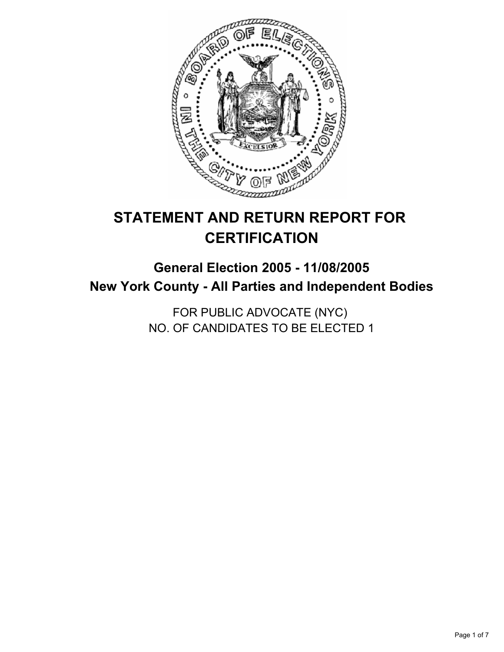

# **STATEMENT AND RETURN REPORT FOR CERTIFICATION**

## **General Election 2005 - 11/08/2005 New York County - All Parties and Independent Bodies**

FOR PUBLIC ADVOCATE (NYC) NO. OF CANDIDATES TO BE ELECTED 1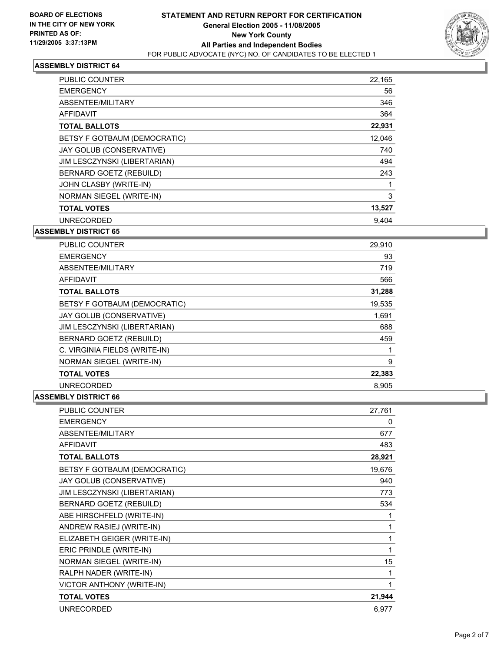

| <b>PUBLIC COUNTER</b>        | 22,165 |  |
|------------------------------|--------|--|
| <b>EMERGENCY</b>             | 56     |  |
| ABSENTEE/MILITARY            | 346    |  |
| AFFIDAVIT                    | 364    |  |
| <b>TOTAL BALLOTS</b>         | 22,931 |  |
| BETSY F GOTBAUM (DEMOCRATIC) | 12,046 |  |
| JAY GOLUB (CONSERVATIVE)     | 740    |  |
| JIM LESCZYNSKI (LIBERTARIAN) | 494    |  |
| BERNARD GOETZ (REBUILD)      | 243    |  |
| JOHN CLASBY (WRITE-IN)       |        |  |
| NORMAN SIEGEL (WRITE-IN)     | 3      |  |
| <b>TOTAL VOTES</b>           | 13,527 |  |
| <b>UNRECORDED</b>            | 9.404  |  |

#### **ASSEMBLY DISTRICT 65**

| PUBLIC COUNTER                | 29,910 |  |
|-------------------------------|--------|--|
| <b>EMERGENCY</b>              | 93     |  |
| ABSENTEE/MILITARY             | 719    |  |
| AFFIDAVIT                     | 566    |  |
| <b>TOTAL BALLOTS</b>          | 31,288 |  |
| BETSY F GOTBAUM (DEMOCRATIC)  | 19,535 |  |
| JAY GOLUB (CONSERVATIVE)      | 1,691  |  |
| JIM LESCZYNSKI (LIBERTARIAN)  | 688    |  |
| BERNARD GOETZ (REBUILD)       | 459    |  |
| C. VIRGINIA FIELDS (WRITE-IN) |        |  |
| NORMAN SIEGEL (WRITE-IN)      | 9      |  |
| <b>TOTAL VOTES</b>            | 22,383 |  |
| <b>UNRECORDED</b>             | 8,905  |  |

| PUBLIC COUNTER               | 27,761 |
|------------------------------|--------|
| <b>EMERGENCY</b>             | 0      |
| ABSENTEE/MILITARY            | 677    |
| <b>AFFIDAVIT</b>             | 483    |
| <b>TOTAL BALLOTS</b>         | 28,921 |
| BETSY F GOTBAUM (DEMOCRATIC) | 19,676 |
| JAY GOLUB (CONSERVATIVE)     | 940    |
| JIM LESCZYNSKI (LIBERTARIAN) | 773    |
| BERNARD GOETZ (REBUILD)      | 534    |
| ABE HIRSCHFELD (WRITE-IN)    |        |
| ANDREW RASIEJ (WRITE-IN)     |        |
| ELIZABETH GEIGER (WRITE-IN)  |        |
| ERIC PRINDLE (WRITE-IN)      |        |
| NORMAN SIEGEL (WRITE-IN)     | 15     |
| RALPH NADER (WRITE-IN)       |        |
| VICTOR ANTHONY (WRITE-IN)    |        |
| <b>TOTAL VOTES</b>           | 21,944 |
| <b>UNRECORDED</b>            | 6.977  |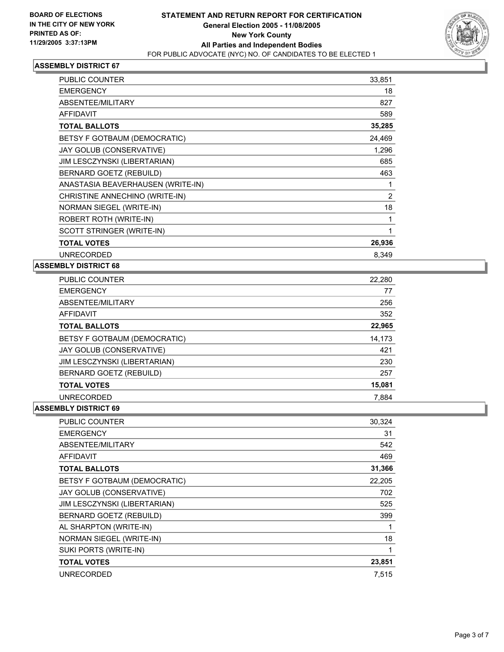

| PUBLIC COUNTER                    | 33,851 |  |
|-----------------------------------|--------|--|
| <b>EMERGENCY</b>                  | 18     |  |
| ABSENTEE/MILITARY                 | 827    |  |
| <b>AFFIDAVIT</b>                  | 589    |  |
| <b>TOTAL BALLOTS</b>              | 35,285 |  |
| BETSY F GOTBAUM (DEMOCRATIC)      | 24,469 |  |
| JAY GOLUB (CONSERVATIVE)          | 1,296  |  |
| JIM LESCZYNSKI (LIBERTARIAN)      | 685    |  |
| BERNARD GOETZ (REBUILD)           | 463    |  |
| ANASTASIA BEAVERHAUSEN (WRITE-IN) |        |  |
| CHRISTINE ANNECHINO (WRITE-IN)    | 2      |  |
| NORMAN SIEGEL (WRITE-IN)          | 18     |  |
| ROBERT ROTH (WRITE-IN)            |        |  |
| SCOTT STRINGER (WRITE-IN)         |        |  |
| <b>TOTAL VOTES</b>                | 26,936 |  |
| <b>UNRECORDED</b>                 | 8.349  |  |

## **ASSEMBLY DISTRICT 68**

| <b>PUBLIC COUNTER</b>        | 22,280 |
|------------------------------|--------|
| <b>EMERGENCY</b>             | 77     |
| ABSENTEE/MILITARY            | 256    |
| AFFIDAVIT                    | 352    |
| <b>TOTAL BALLOTS</b>         | 22,965 |
| BETSY F GOTBAUM (DEMOCRATIC) | 14,173 |
| JAY GOLUB (CONSERVATIVE)     | 421    |
| JIM LESCZYNSKI (LIBERTARIAN) | 230    |
| BERNARD GOETZ (REBUILD)      | 257    |
| <b>TOTAL VOTES</b>           | 15,081 |
| <b>UNRECORDED</b>            | 7,884  |
|                              |        |

| <b>PUBLIC COUNTER</b>        | 30,324 |
|------------------------------|--------|
| <b>EMERGENCY</b>             | 31     |
| ABSENTEE/MILITARY            | 542    |
| <b>AFFIDAVIT</b>             | 469    |
| <b>TOTAL BALLOTS</b>         | 31,366 |
| BETSY F GOTBAUM (DEMOCRATIC) | 22,205 |
| JAY GOLUB (CONSERVATIVE)     | 702    |
| JIM LESCZYNSKI (LIBERTARIAN) | 525    |
| BERNARD GOETZ (REBUILD)      | 399    |
| AL SHARPTON (WRITE-IN)       |        |
| NORMAN SIEGEL (WRITE-IN)     | 18     |
| SUKI PORTS (WRITE-IN)        |        |
| <b>TOTAL VOTES</b>           | 23,851 |
| <b>UNRECORDED</b>            | 7.515  |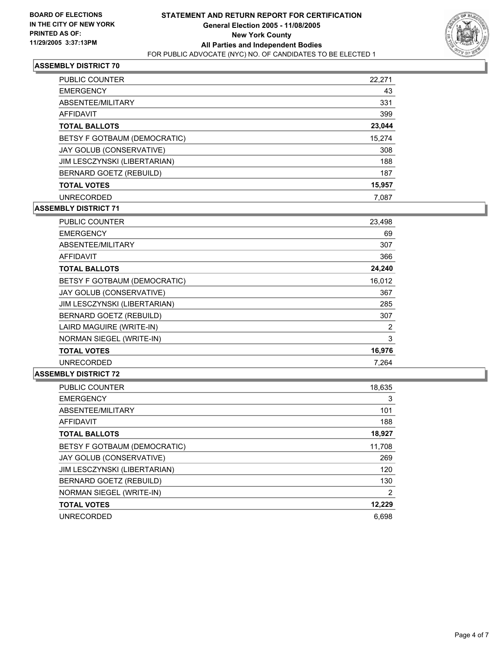

| <b>PUBLIC COUNTER</b>        | 22,271 |
|------------------------------|--------|
| <b>EMERGENCY</b>             | 43     |
| ABSENTEE/MILITARY            | 331    |
| AFFIDAVIT                    | 399    |
| <b>TOTAL BALLOTS</b>         | 23,044 |
| BETSY F GOTBAUM (DEMOCRATIC) | 15,274 |
| JAY GOLUB (CONSERVATIVE)     | 308    |
| JIM LESCZYNSKI (LIBERTARIAN) | 188    |
| BERNARD GOETZ (REBUILD)      | 187    |
| <b>TOTAL VOTES</b>           | 15,957 |
| <b>UNRECORDED</b>            | 7.087  |

## **ASSEMBLY DISTRICT 71**

| <b>PUBLIC COUNTER</b>        | 23,498 |
|------------------------------|--------|
| <b>EMERGENCY</b>             | 69     |
| ABSENTEE/MILITARY            | 307    |
| <b>AFFIDAVIT</b>             | 366    |
| <b>TOTAL BALLOTS</b>         | 24,240 |
| BETSY F GOTBAUM (DEMOCRATIC) | 16,012 |
| JAY GOLUB (CONSERVATIVE)     | 367    |
| JIM LESCZYNSKI (LIBERTARIAN) | 285    |
| BERNARD GOETZ (REBUILD)      | 307    |
| LAIRD MAGUIRE (WRITE-IN)     | 2      |
| NORMAN SIEGEL (WRITE-IN)     | 3      |
| <b>TOTAL VOTES</b>           | 16,976 |
| <b>UNRECORDED</b>            | 7.264  |

| <b>PUBLIC COUNTER</b>        | 18,635 |
|------------------------------|--------|
| <b>EMERGENCY</b>             | 3      |
| ABSENTEE/MILITARY            | 101    |
| AFFIDAVIT                    | 188    |
| <b>TOTAL BALLOTS</b>         | 18,927 |
| BETSY F GOTBAUM (DEMOCRATIC) | 11,708 |
| JAY GOLUB (CONSERVATIVE)     | 269    |
| JIM LESCZYNSKI (LIBERTARIAN) | 120    |
| BERNARD GOETZ (REBUILD)      | 130    |
| NORMAN SIEGEL (WRITE-IN)     | 2      |
| <b>TOTAL VOTES</b>           | 12,229 |
| <b>UNRECORDED</b>            | 6.698  |
|                              |        |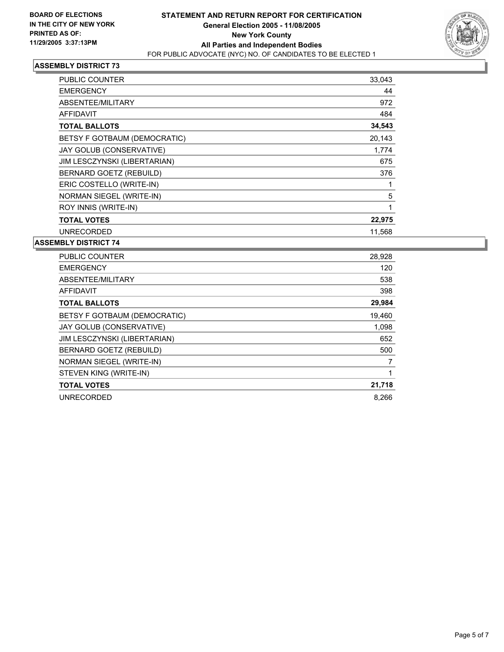

| PUBLIC COUNTER               | 33,043 |  |
|------------------------------|--------|--|
| <b>EMERGENCY</b>             | 44     |  |
| ABSENTEE/MILITARY            | 972    |  |
| AFFIDAVIT                    | 484    |  |
| <b>TOTAL BALLOTS</b>         | 34,543 |  |
| BETSY F GOTBAUM (DEMOCRATIC) | 20,143 |  |
| JAY GOLUB (CONSERVATIVE)     | 1,774  |  |
| JIM LESCZYNSKI (LIBERTARIAN) | 675    |  |
| BERNARD GOETZ (REBUILD)      | 376    |  |
| ERIC COSTELLO (WRITE-IN)     |        |  |
| NORMAN SIEGEL (WRITE-IN)     | 5      |  |
| ROY INNIS (WRITE-IN)         |        |  |
| <b>TOTAL VOTES</b>           | 22,975 |  |
| <b>UNRECORDED</b>            | 11,568 |  |

| PUBLIC COUNTER                      | 28,928 |
|-------------------------------------|--------|
| <b>EMERGENCY</b>                    | 120    |
| ABSENTEE/MILITARY                   | 538    |
| <b>AFFIDAVIT</b>                    | 398    |
| <b>TOTAL BALLOTS</b>                | 29,984 |
| BETSY F GOTBAUM (DEMOCRATIC)        | 19,460 |
| JAY GOLUB (CONSERVATIVE)            | 1,098  |
| <b>JIM LESCZYNSKI (LIBERTARIAN)</b> | 652    |
| BERNARD GOETZ (REBUILD)             | 500    |
| NORMAN SIEGEL (WRITE-IN)            |        |
| STEVEN KING (WRITE-IN)              |        |
| <b>TOTAL VOTES</b>                  | 21,718 |
| <b>UNRECORDED</b>                   | 8.266  |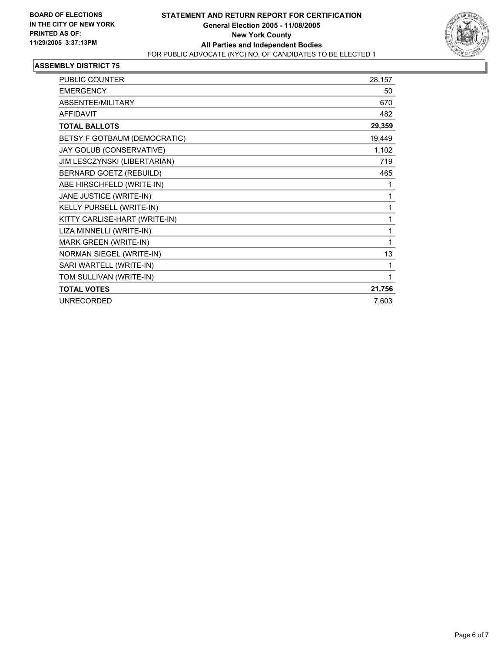

| PUBLIC COUNTER                | 28,157 |
|-------------------------------|--------|
| <b>EMERGENCY</b>              | 50     |
| ABSENTEE/MILITARY             | 670    |
| <b>AFFIDAVIT</b>              | 482    |
| <b>TOTAL BALLOTS</b>          | 29,359 |
| BETSY F GOTBAUM (DEMOCRATIC)  | 19,449 |
| JAY GOLUB (CONSERVATIVE)      | 1,102  |
| JIM LESCZYNSKI (LIBERTARIAN)  | 719    |
| BERNARD GOETZ (REBUILD)       | 465    |
| ABE HIRSCHFELD (WRITE-IN)     |        |
| JANE JUSTICE (WRITE-IN)       | 1      |
| KELLY PURSELL (WRITE-IN)      |        |
| KITTY CARLISE-HART (WRITE-IN) | 1      |
| LIZA MINNELLI (WRITE-IN)      | 1      |
| MARK GREEN (WRITE-IN)         |        |
| NORMAN SIEGEL (WRITE-IN)      | 13     |
| SARI WARTELL (WRITE-IN)       | 1      |
| TOM SULLIVAN (WRITE-IN)       |        |
| <b>TOTAL VOTES</b>            | 21,756 |
| <b>UNRECORDED</b>             | 7,603  |